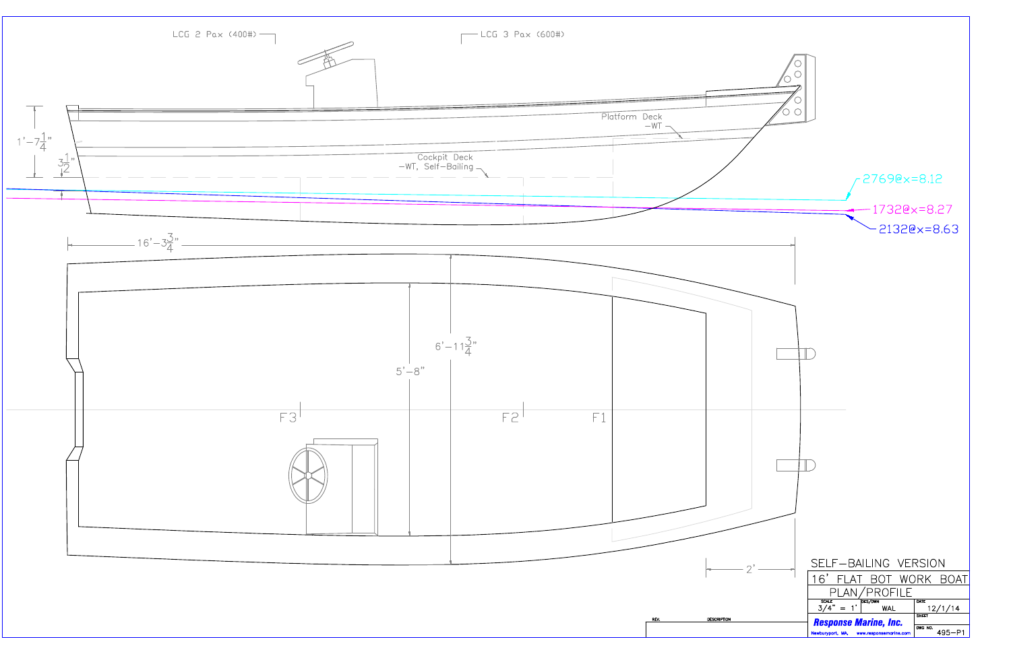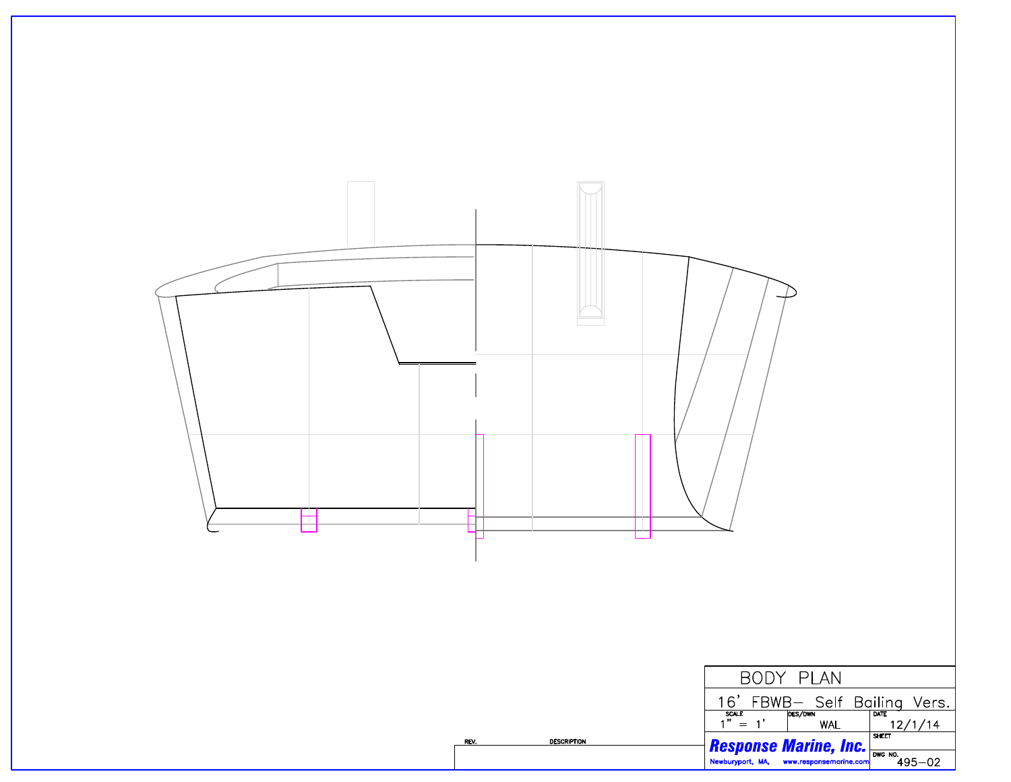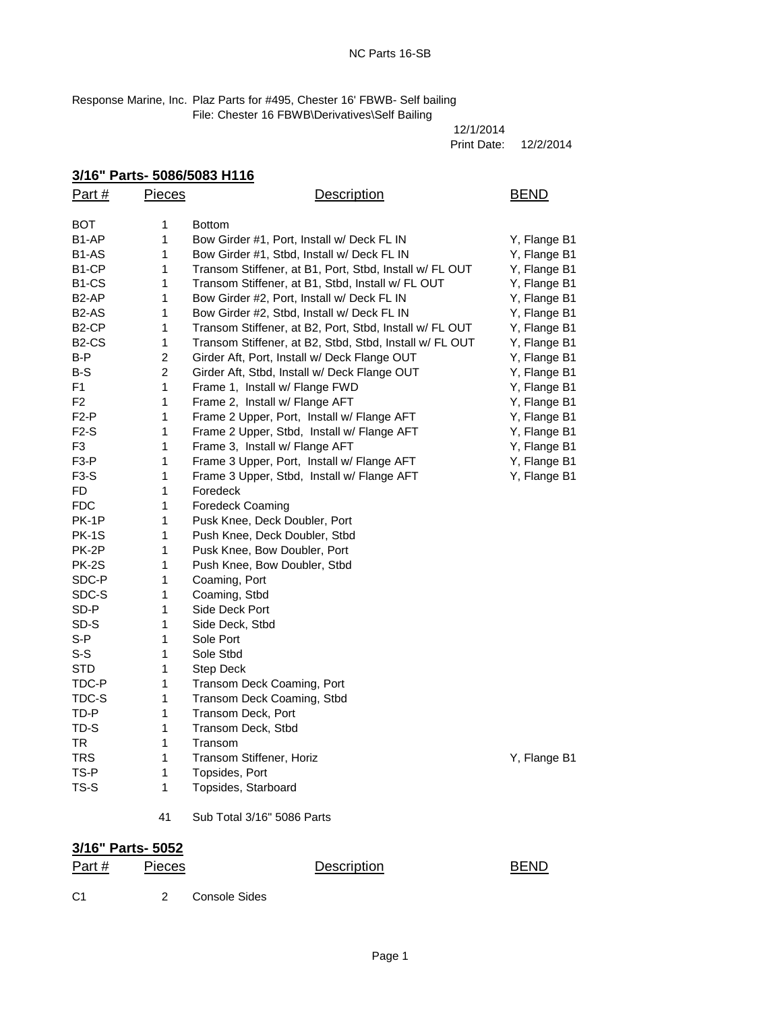Response Marine, Inc. Plaz Parts for #495, Chester 16' FBWB- Self bailing File: Chester 16 FBWB\Derivatives\Self Bailing

| 12/1/2014   |           |
|-------------|-----------|
| Print Date: | 12/2/2014 |

## **3/16" Parts- 5086/5083 H116**

| Part#              | <b>Pieces</b>  | Description                                             | <b>BEND</b>  |
|--------------------|----------------|---------------------------------------------------------|--------------|
| ВОТ                | 1              | <b>Bottom</b>                                           |              |
| B1-AP              | 1              | Bow Girder #1, Port, Install w/ Deck FL IN              | Y, Flange B1 |
| B1-AS              | 1              | Bow Girder #1, Stbd, Install w/ Deck FL IN              | Y, Flange B1 |
| B1-CP              | 1              | Transom Stiffener, at B1, Port, Stbd, Install w/ FL OUT | Y, Flange B1 |
| B1-CS              | 1              | Transom Stiffener, at B1, Stbd, Install w/ FL OUT       | Y, Flange B1 |
| B2-AP              | 1              | Bow Girder #2, Port, Install w/ Deck FL IN              | Y, Flange B1 |
| B2-AS              | 1              | Bow Girder #2, Stbd, Install w/ Deck FL IN              | Y, Flange B1 |
| B <sub>2</sub> -CP | 1              | Transom Stiffener, at B2, Port, Stbd, Install w/ FL OUT | Y, Flange B1 |
| B <sub>2</sub> -CS | 1              | Transom Stiffener, at B2, Stbd, Stbd, Install w/ FL OUT | Y, Flange B1 |
| B-P                | $\overline{c}$ | Girder Aft, Port, Install w/ Deck Flange OUT            | Y, Flange B1 |
| B-S                | $\overline{c}$ | Girder Aft, Stbd, Install w/ Deck Flange OUT            | Y, Flange B1 |
| F1                 | 1              | Frame 1, Install w/ Flange FWD                          | Y, Flange B1 |
| F <sub>2</sub>     | 1              | Frame 2, Install w/ Flange AFT                          | Y, Flange B1 |
| F2-P               | 1              | Frame 2 Upper, Port, Install w/ Flange AFT              | Y, Flange B1 |
| $F2-S$             | 1              | Frame 2 Upper, Stbd, Install w/ Flange AFT              | Y, Flange B1 |
| F <sub>3</sub>     | 1              | Frame 3, Install w/ Flange AFT                          | Y, Flange B1 |
| F <sub>3-P</sub>   | 1              | Frame 3 Upper, Port, Install w/ Flange AFT              | Y, Flange B1 |
| $F3-S$             | 1              | Frame 3 Upper, Stbd, Install w/ Flange AFT              | Y, Flange B1 |
| FD                 | 1              | Foredeck                                                |              |
| FDC                | 1              | Foredeck Coaming                                        |              |
| PK-1P              | 1              | Pusk Knee, Deck Doubler, Port                           |              |
| PK-1S              | 1              | Push Knee, Deck Doubler, Stbd                           |              |
| PK-2P              | 1              | Pusk Knee, Bow Doubler, Port                            |              |
| PK-2S              | 1              | Push Knee, Bow Doubler, Stbd                            |              |
| SDC-P              | 1              | Coaming, Port                                           |              |
| SDC-S              | 1              | Coaming, Stbd                                           |              |
| SD-P               | 1              | Side Deck Port                                          |              |
| SD-S               | 1              | Side Deck, Stbd                                         |              |
| $S-P$              | 1              | Sole Port                                               |              |
| $S-S$              | 1              | Sole Stbd                                               |              |
| <b>STD</b>         | 1              | Step Deck                                               |              |
| TDC-P              | 1              | Transom Deck Coaming, Port                              |              |
| TDC-S              | 1              | Transom Deck Coaming, Stbd                              |              |
| TD-P               | 1              | Transom Deck, Port                                      |              |
| TD-S               | 1              | Transom Deck, Stbd                                      |              |
| TR                 | 1              | Transom                                                 |              |
| <b>TRS</b>         | 1              | Transom Stiffener, Horiz                                | Y, Flange B1 |
| TS-P               | 1              | Topsides, Port                                          |              |
| TS-S               | 1              | Topsides, Starboard                                     |              |
|                    | 41             | Sub Total 3/16" 5086 Parts                              |              |

## **3/16" Parts- 5052**

|       | --------------- |             |             |
|-------|-----------------|-------------|-------------|
| Part# | <b>Pieces</b>   | Description | <b>BEND</b> |
|       |                 |             |             |

C1 2 Console Sides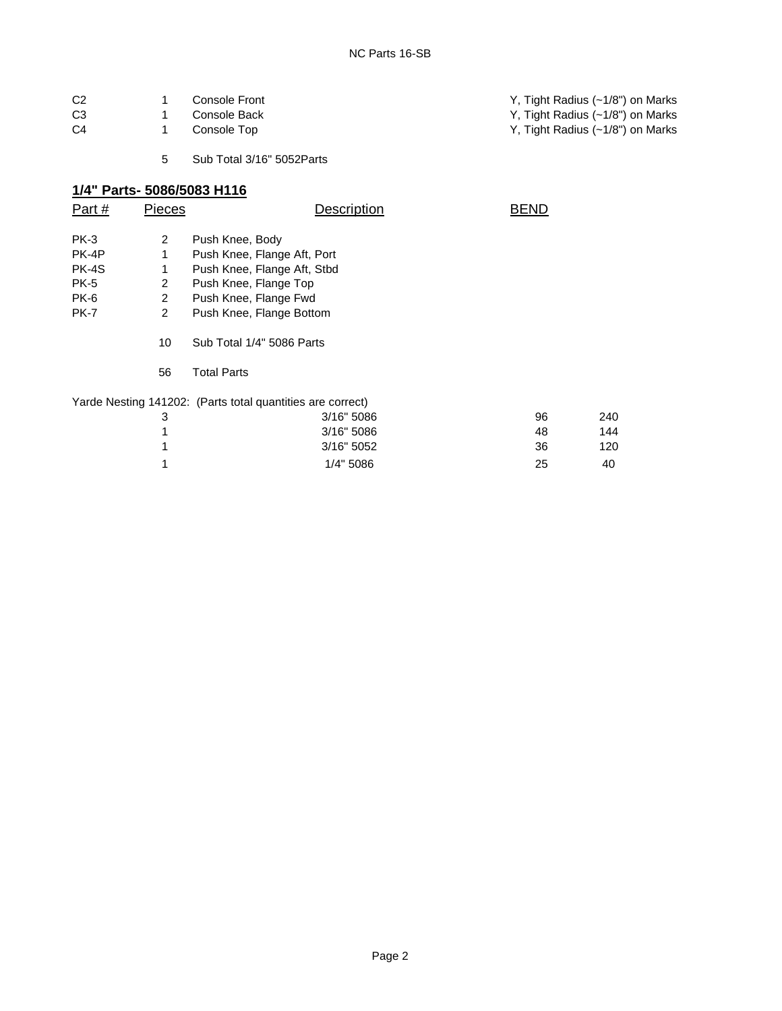| C <sub>2</sub> | Console Front | Y, Tight Radius (~1/8") on Marks |
|----------------|---------------|----------------------------------|
| C <sub>3</sub> | Console Back  | Y, Tight Radius (~1/8") on Marks |
| C4             | Console Top   | Y, Tight Radius (~1/8") on Marks |
|                |               |                                  |

5 Sub Total 3/16" 5052Parts

## **1/4" Parts- 5086/5083 H116**

| Part #      | Pieces                   | Description                                                | BEND |     |  |
|-------------|--------------------------|------------------------------------------------------------|------|-----|--|
| PK-3        | $\overline{2}$           |                                                            |      |     |  |
|             |                          | Push Knee, Body                                            |      |     |  |
| PK-4P       | 1                        | Push Knee, Flange Aft, Port                                |      |     |  |
| PK-4S       | 1                        | Push Knee, Flange Aft, Stbd                                |      |     |  |
| <b>PK-5</b> | 2                        | Push Knee, Flange Top                                      |      |     |  |
| <b>PK-6</b> | 2                        | Push Knee, Flange Fwd                                      |      |     |  |
| <b>PK-7</b> | $\overline{2}$           | Push Knee, Flange Bottom                                   |      |     |  |
|             | 10                       | Sub Total 1/4" 5086 Parts                                  |      |     |  |
|             | 56<br><b>Total Parts</b> |                                                            |      |     |  |
|             |                          | Yarde Nesting 141202: (Parts total quantities are correct) |      |     |  |
|             | 3                        | 3/16" 5086                                                 | 96   | 240 |  |
|             |                          | 3/16" 5086                                                 | 48   | 144 |  |
|             |                          | 3/16" 5052                                                 | 36   | 120 |  |
|             |                          | 1/4" 5086                                                  | 25   | 40  |  |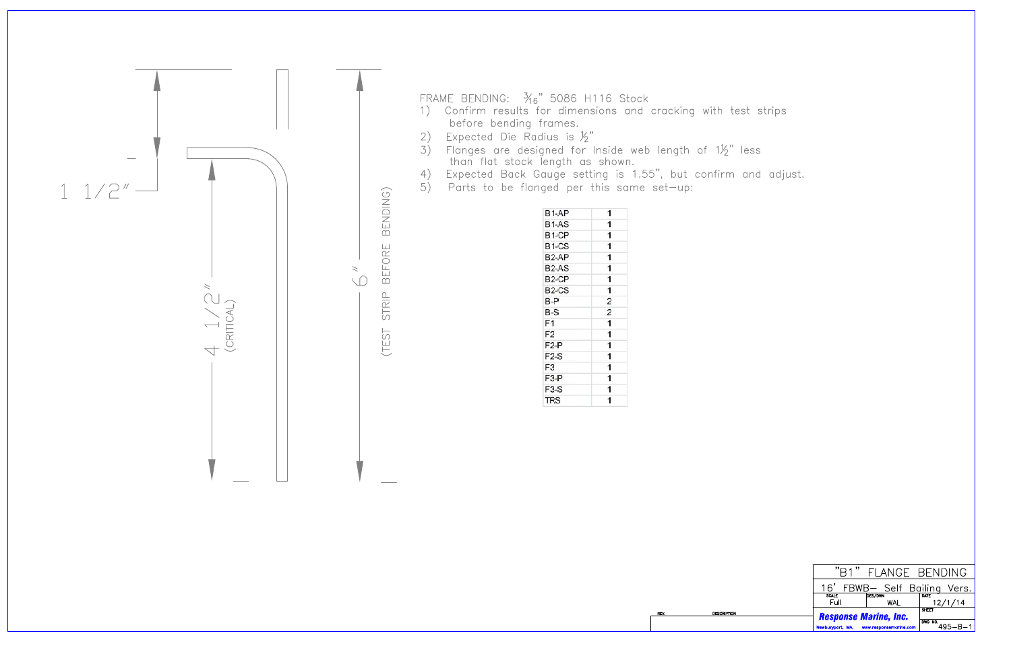

- FRAME BENDING:  $\frac{3}{16}$ " 5086 H116 Stock<br>1) Confirm results for dimensions and cracking with test strips before bending frames.
- Expected Die Radius is  $\frac{1}{2}$ " 2)
- Expected bie Rudius is  $\frac{1}{2}$ <br>3) Flanges are designed for Inside web length of  $1\frac{1}{2}$ " less<br>than flat stock length as shown.<br>4) Expected Back Gauge setting is 1.55", but confirm and adjust.<br>5) Parts to be flanged p
- 
- 

| B <sub>1-AP</sub>              | 1                       |
|--------------------------------|-------------------------|
| B <sub>1</sub> -AS             | 1                       |
| B <sub>1</sub> -CP             | 1                       |
| B <sub>1</sub> -CS             | 1                       |
| B <sub>2</sub> -AP             | 1                       |
| B <sub>2</sub> -A <sub>S</sub> | 1                       |
| B <sub>2</sub> -CP             | 1                       |
| B <sub>2</sub> -CS             | 1                       |
| B-P                            | $\overline{2}$          |
| $B-S$                          | $\overline{\mathbf{c}}$ |
| F1                             | $\overline{1}$          |
| F <sub>2</sub>                 | 1                       |
| F <sub>2</sub> -P              | 1                       |
| $F2-S$                         | 1                       |
| F <sub>3</sub>                 | 1                       |
| F <sub>3-P</sub>               | 1                       |
| $F3-S$                         | 1                       |
| <b>TRS</b>                     | 1                       |

**DESCRIPTION** 

|                                            | "R1" FLANGE BENDING          |                                 |
|--------------------------------------------|------------------------------|---------------------------------|
|                                            | 16' FBWB- Self Bailing Vers. |                                 |
| <b>SCALE</b>                               | DES/DWN                      | <b>DATE</b>                     |
| Full                                       | WAL                          | 12/1/14                         |
|                                            | SHEET                        |                                 |
| <b>Response Marine, Inc.</b>               |                              |                                 |
|                                            |                              |                                 |
| Newburyport, MA,<br>www.responsemarine.com |                              | $1^{\frac{DWG-NO.}{P}}$ 495-B-1 |
|                                            |                              |                                 |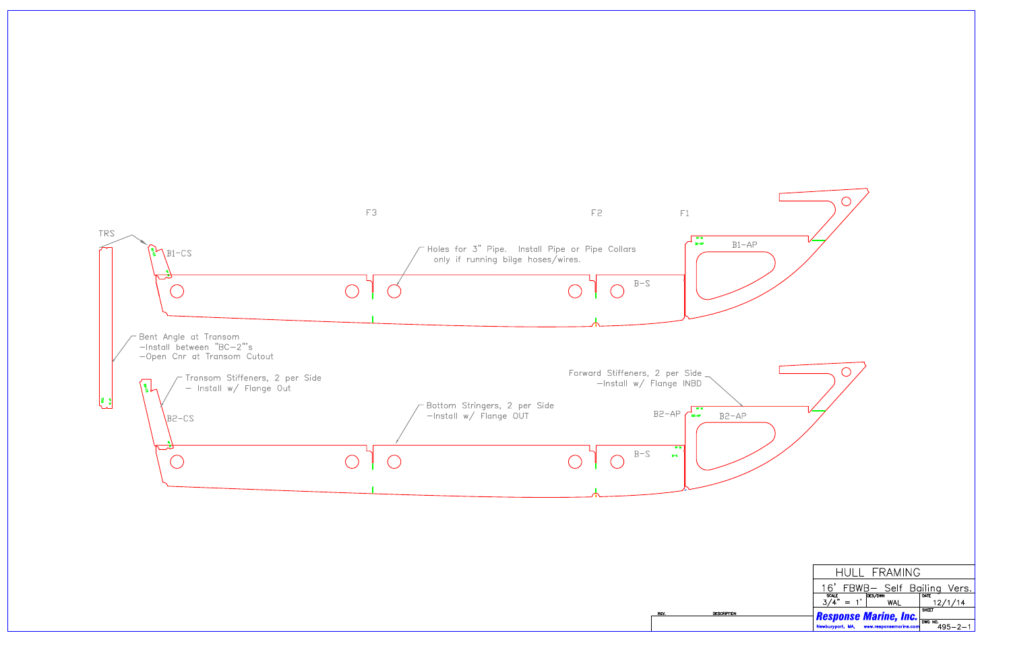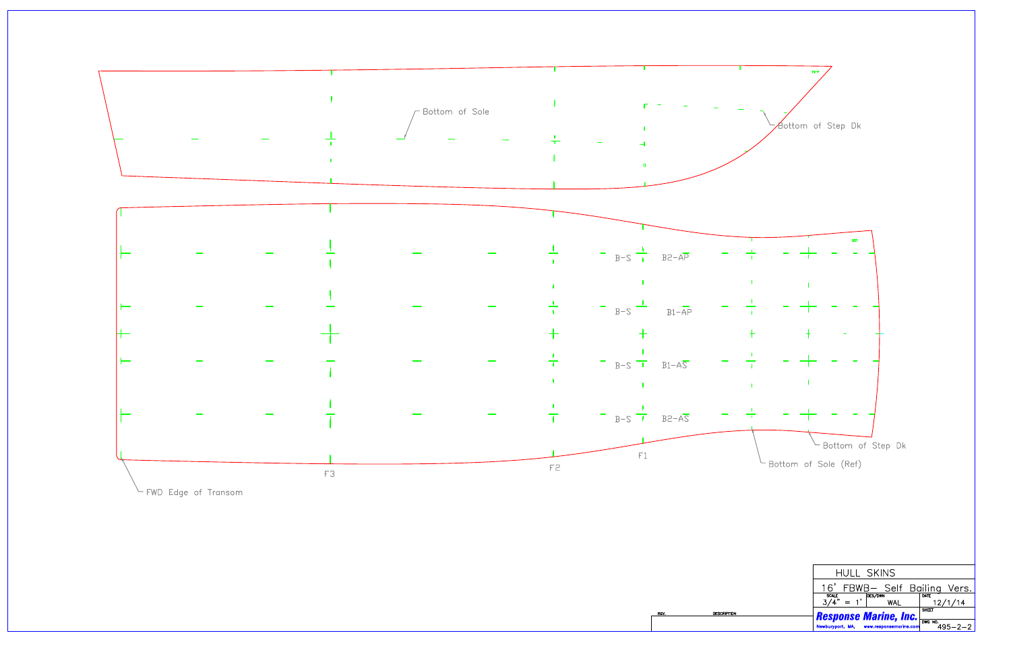

DESCRIPTION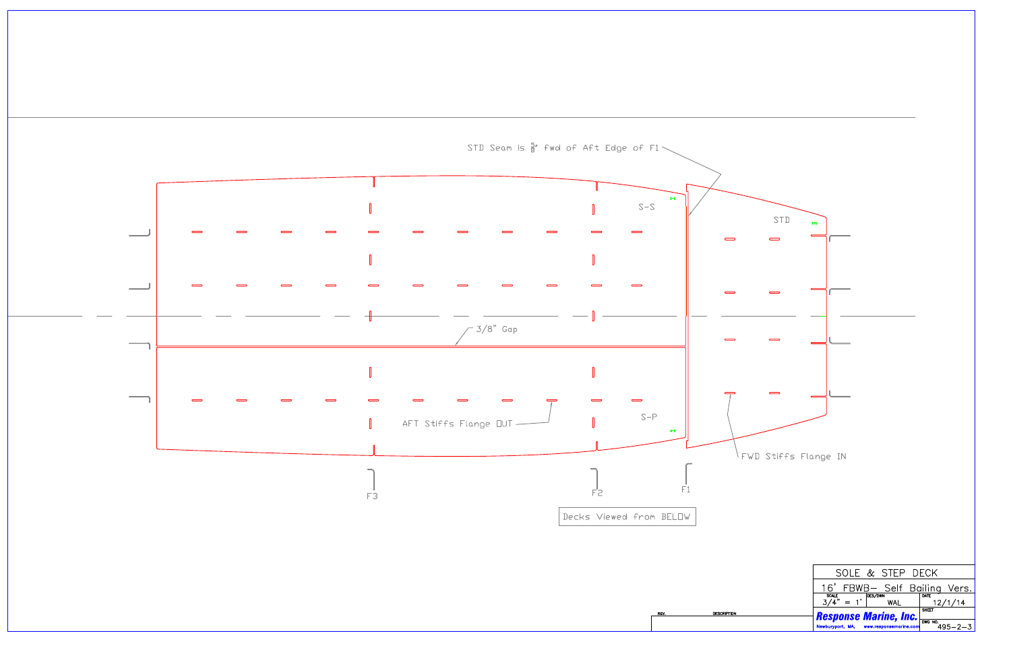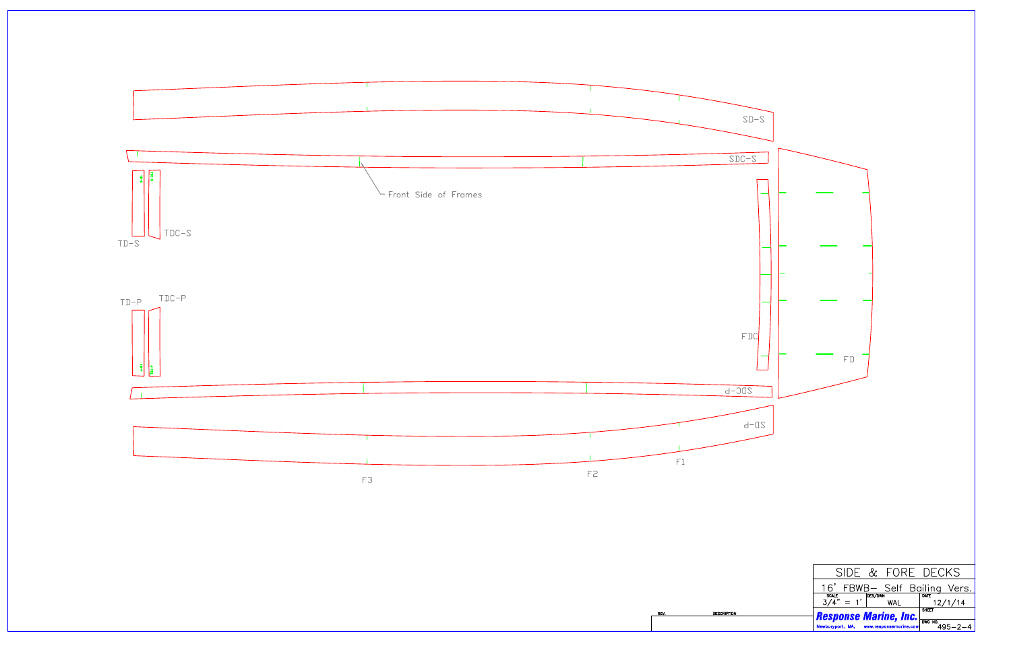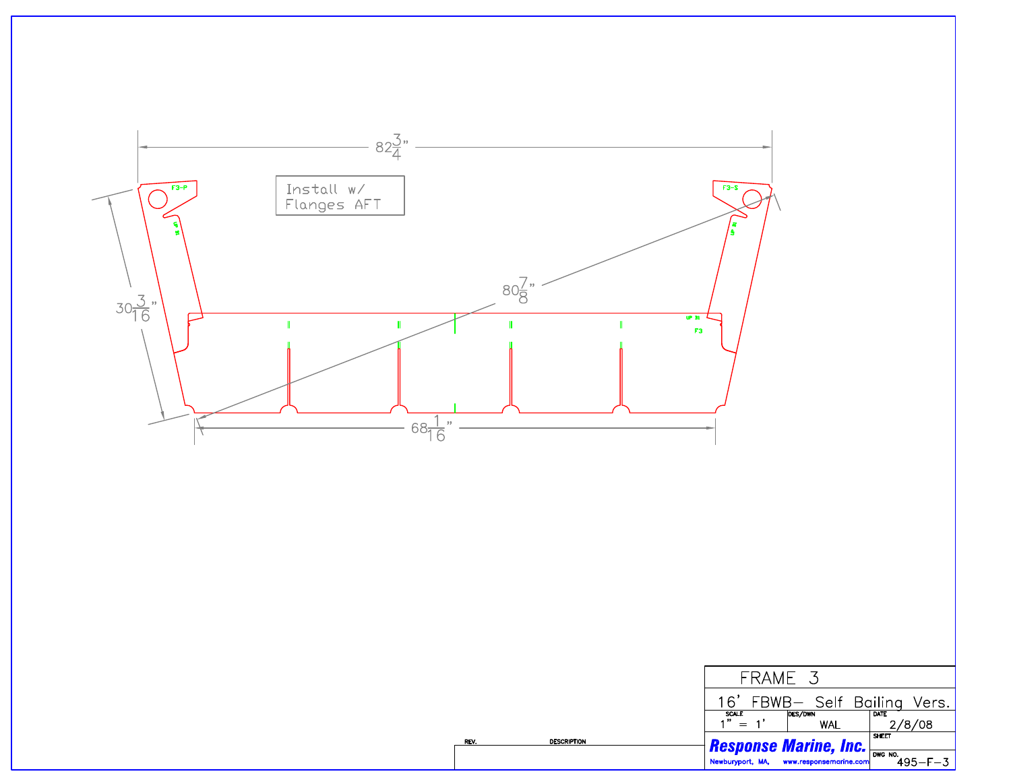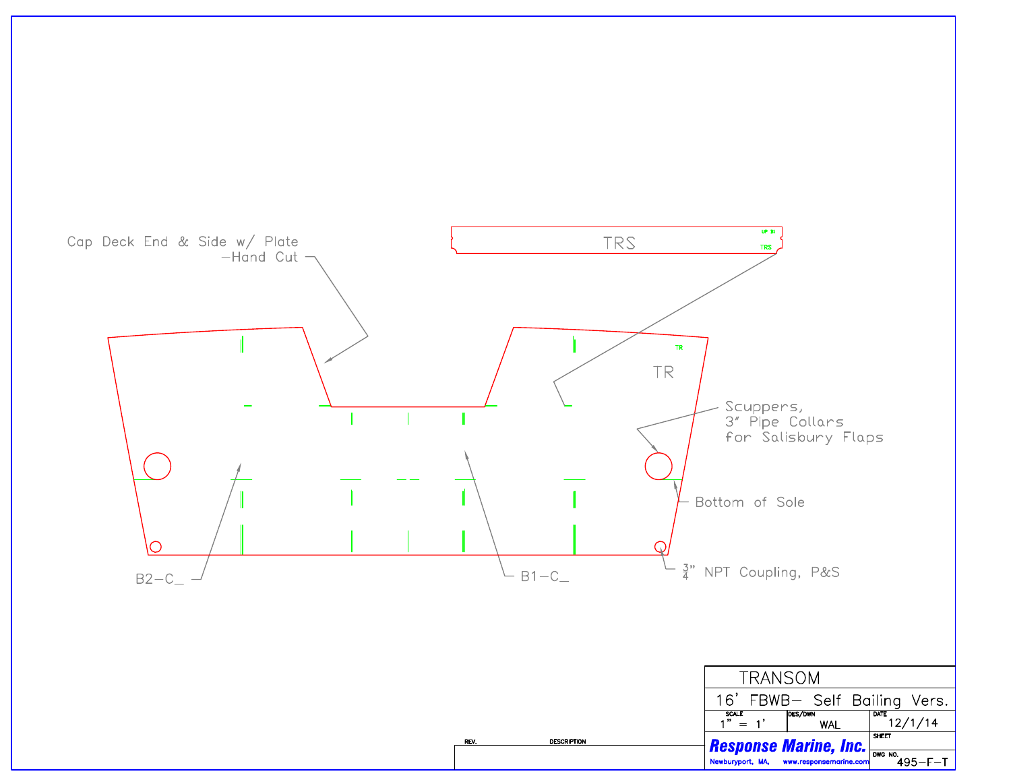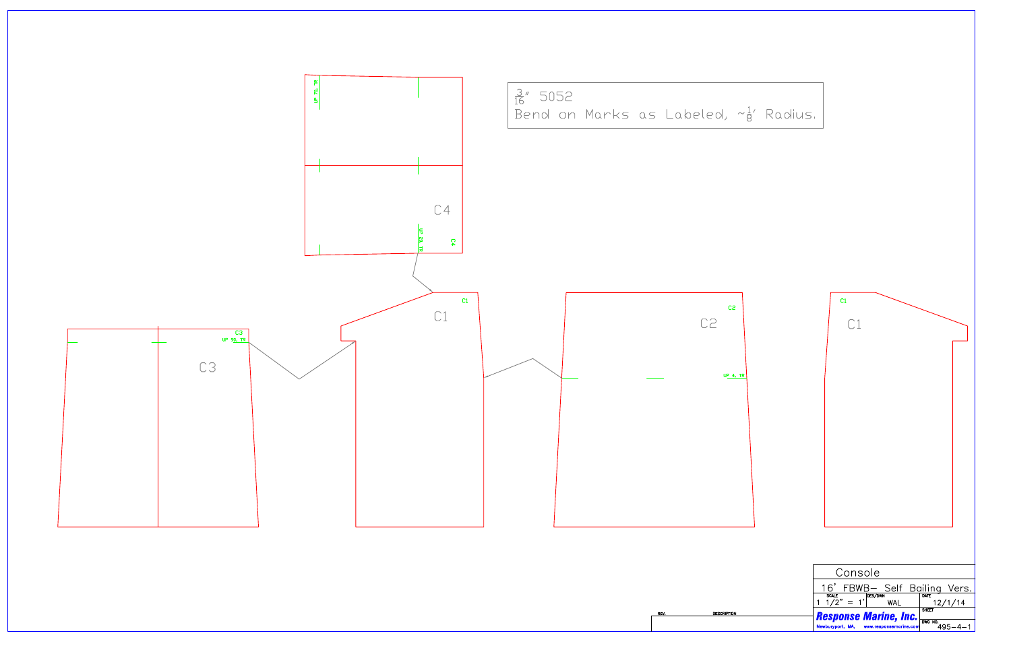